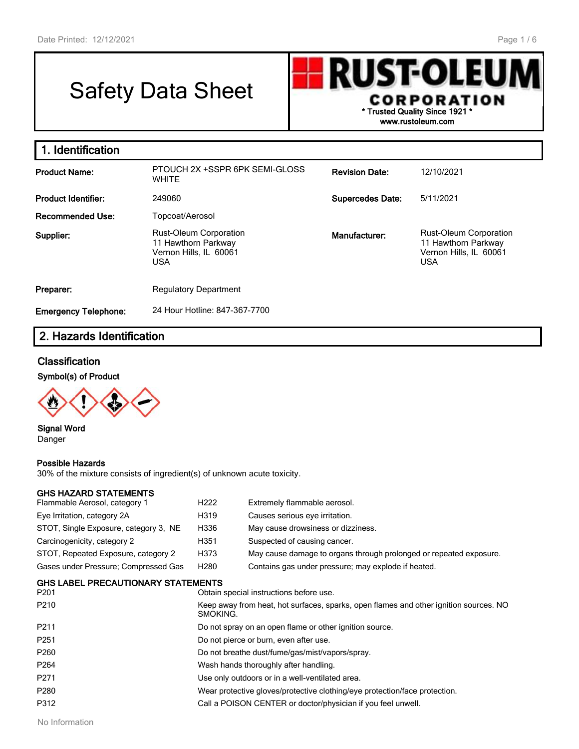Г

# Safety Data Sheet



| 1. Identification           |                                                                                              |                         |                                                                                              |
|-----------------------------|----------------------------------------------------------------------------------------------|-------------------------|----------------------------------------------------------------------------------------------|
| <b>Product Name:</b>        | PTOUCH 2X +SSPR 6PK SEMI-GLOSS<br><b>WHITE</b>                                               | <b>Revision Date:</b>   | 12/10/2021                                                                                   |
| <b>Product Identifier:</b>  | 249060                                                                                       | <b>Supercedes Date:</b> | 5/11/2021                                                                                    |
| Recommended Use:            | Topcoat/Aerosol                                                                              |                         |                                                                                              |
| Supplier:                   | <b>Rust-Oleum Corporation</b><br>11 Hawthorn Parkway<br>Vernon Hills, IL 60061<br><b>USA</b> | Manufacturer:           | <b>Rust-Oleum Corporation</b><br>11 Hawthorn Parkway<br>Vernon Hills, IL 60061<br><b>USA</b> |
| Preparer:                   | <b>Regulatory Department</b>                                                                 |                         |                                                                                              |
| <b>Emergency Telephone:</b> | 24 Hour Hotline: 847-367-7700                                                                |                         |                                                                                              |

### **2. Hazards Identification**

### **Classification**

**Symbol(s) of Product**



**Signal Word** Danger

#### **Possible Hazards**

30% of the mixture consists of ingredient(s) of unknown acute toxicity.

#### **GHS HAZARD STATEMENTS**

| Flammable Aerosol, category 1         | H <sub>222</sub> | Extremely flammable aerosol.                                       |
|---------------------------------------|------------------|--------------------------------------------------------------------|
| Eye Irritation, category 2A           | H319             | Causes serious eye irritation.                                     |
| STOT, Single Exposure, category 3, NE | H336             | May cause drowsiness or dizziness.                                 |
| Carcinogenicity, category 2           | H351             | Suspected of causing cancer.                                       |
| STOT, Repeated Exposure, category 2   | H373             | May cause damage to organs through prolonged or repeated exposure. |
| Gases under Pressure; Compressed Gas  | H280             | Contains gas under pressure; may explode if heated.                |

#### **GHS LABEL PRECAUTIONARY STATEMENTS**

| P <sub>201</sub> | Obtain special instructions before use.                                                           |
|------------------|---------------------------------------------------------------------------------------------------|
| P <sub>210</sub> | Keep away from heat, hot surfaces, sparks, open flames and other ignition sources. NO<br>SMOKING. |
| P <sub>211</sub> | Do not spray on an open flame or other ignition source.                                           |
| P <sub>251</sub> | Do not pierce or burn, even after use.                                                            |
| P <sub>260</sub> | Do not breathe dust/fume/gas/mist/vapors/spray.                                                   |
| P <sub>264</sub> | Wash hands thoroughly after handling.                                                             |
| P271             | Use only outdoors or in a well-ventilated area.                                                   |
| P280             | Wear protective gloves/protective clothing/eye protection/face protection.                        |
| P312             | Call a POISON CENTER or doctor/physician if you feel unwell.                                      |
|                  |                                                                                                   |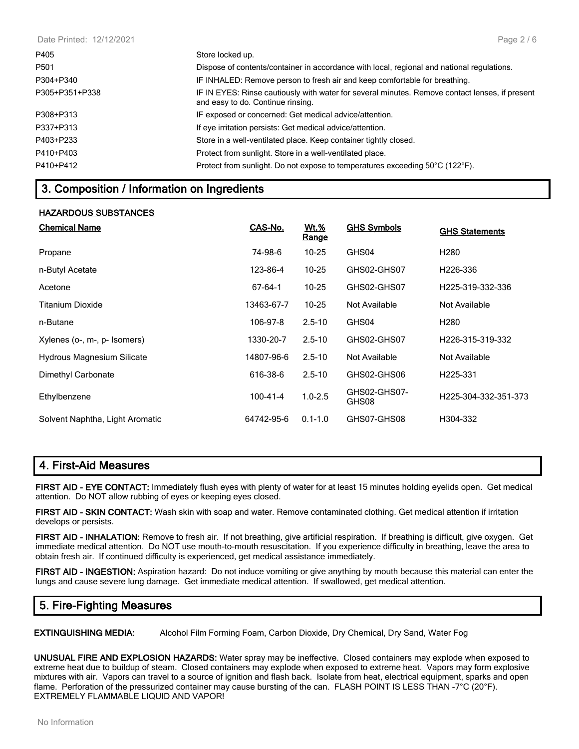| Date Printed: 12/12/2021 | Page $2/6$                                                                                                                          |
|--------------------------|-------------------------------------------------------------------------------------------------------------------------------------|
| P405                     | Store locked up.                                                                                                                    |
| P501                     | Dispose of contents/container in accordance with local, regional and national regulations.                                          |
| P304+P340                | IF INHALED: Remove person to fresh air and keep comfortable for breathing.                                                          |
| P305+P351+P338           | IF IN EYES: Rinse cautiously with water for several minutes. Remove contact lenses, if present<br>and easy to do. Continue rinsing. |
| P308+P313                | IF exposed or concerned: Get medical advice/attention.                                                                              |
| P337+P313                | If eye irritation persists: Get medical advice/attention.                                                                           |
| P403+P233                | Store in a well-ventilated place. Keep container tightly closed.                                                                    |
| P410+P403                | Protect from sunlight. Store in a well-ventilated place.                                                                            |
| P410+P412                | Protect from sunlight. Do not expose to temperatures exceeding 50°C (122°F).                                                        |

### **3. Composition / Information on Ingredients**

#### **HAZARDOUS SUBSTANCES**

| <b>Chemical Name</b>              | CAS-No.    | <b>Wt.%</b><br>Range | <b>GHS Symbols</b>    | <b>GHS Statements</b>         |
|-----------------------------------|------------|----------------------|-----------------------|-------------------------------|
| Propane                           | 74-98-6    | $10 - 25$            | GHS04                 | H <sub>280</sub>              |
| n-Butyl Acetate                   | 123-86-4   | $10 - 25$            | GHS02-GHS07           | H <sub>226</sub> -336         |
| Acetone                           | 67-64-1    | $10 - 25$            | GHS02-GHS07           | H <sub>225</sub> -319-332-336 |
| Titanium Dioxide                  | 13463-67-7 | $10 - 25$            | Not Available         | Not Available                 |
| n-Butane                          | 106-97-8   | $2.5 - 10$           | GHS04                 | H <sub>280</sub>              |
| Xylenes (o-, m-, p- Isomers)      | 1330-20-7  | $2.5 - 10$           | GHS02-GHS07           | H <sub>226</sub> -315-319-332 |
| <b>Hydrous Magnesium Silicate</b> | 14807-96-6 | $2.5 - 10$           | Not Available         | Not Available                 |
| Dimethyl Carbonate                | 616-38-6   | $2.5 - 10$           | GHS02-GHS06           | H <sub>225</sub> -331         |
| Ethylbenzene                      | 100-41-4   | $1.0 - 2.5$          | GHS02-GHS07-<br>GHS08 | H225-304-332-351-373          |
| Solvent Naphtha, Light Aromatic   | 64742-95-6 | $0.1 - 1.0$          | GHS07-GHS08           | H304-332                      |

### **4. First-Aid Measures**

**FIRST AID - EYE CONTACT:** Immediately flush eyes with plenty of water for at least 15 minutes holding eyelids open. Get medical attention. Do NOT allow rubbing of eyes or keeping eyes closed.

**FIRST AID - SKIN CONTACT:** Wash skin with soap and water. Remove contaminated clothing. Get medical attention if irritation develops or persists.

**FIRST AID - INHALATION:** Remove to fresh air. If not breathing, give artificial respiration. If breathing is difficult, give oxygen. Get immediate medical attention. Do NOT use mouth-to-mouth resuscitation. If you experience difficulty in breathing, leave the area to obtain fresh air. If continued difficulty is experienced, get medical assistance immediately.

**FIRST AID - INGESTION:** Aspiration hazard: Do not induce vomiting or give anything by mouth because this material can enter the lungs and cause severe lung damage. Get immediate medical attention. If swallowed, get medical attention.

### **5. Fire-Fighting Measures**

**EXTINGUISHING MEDIA:** Alcohol Film Forming Foam, Carbon Dioxide, Dry Chemical, Dry Sand, Water Fog

**UNUSUAL FIRE AND EXPLOSION HAZARDS:** Water spray may be ineffective. Closed containers may explode when exposed to extreme heat due to buildup of steam. Closed containers may explode when exposed to extreme heat. Vapors may form explosive mixtures with air. Vapors can travel to a source of ignition and flash back. Isolate from heat, electrical equipment, sparks and open flame. Perforation of the pressurized container may cause bursting of the can. FLASH POINT IS LESS THAN -7°C (20°F). EXTREMELY FLAMMABLE LIQUID AND VAPOR!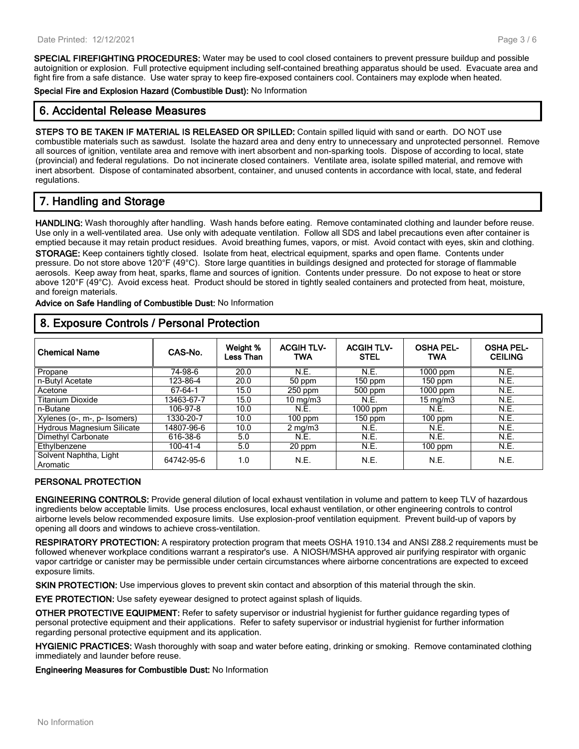**SPECIAL FIREFIGHTING PROCEDURES:** Water may be used to cool closed containers to prevent pressure buildup and possible autoignition or explosion. Full protective equipment including self-contained breathing apparatus should be used. Evacuate area and fight fire from a safe distance. Use water spray to keep fire-exposed containers cool. Containers may explode when heated.

**Special Fire and Explosion Hazard (Combustible Dust):** No Information

### **6. Accidental Release Measures**

**STEPS TO BE TAKEN IF MATERIAL IS RELEASED OR SPILLED:** Contain spilled liquid with sand or earth. DO NOT use combustible materials such as sawdust. Isolate the hazard area and deny entry to unnecessary and unprotected personnel. Remove all sources of ignition, ventilate area and remove with inert absorbent and non-sparking tools. Dispose of according to local, state (provincial) and federal regulations. Do not incinerate closed containers. Ventilate area, isolate spilled material, and remove with inert absorbent. Dispose of contaminated absorbent, container, and unused contents in accordance with local, state, and federal regulations.

### **7. Handling and Storage**

**HANDLING:** Wash thoroughly after handling. Wash hands before eating. Remove contaminated clothing and launder before reuse. Use only in a well-ventilated area. Use only with adequate ventilation. Follow all SDS and label precautions even after container is emptied because it may retain product residues. Avoid breathing fumes, vapors, or mist. Avoid contact with eyes, skin and clothing. **STORAGE:** Keep containers tightly closed. Isolate from heat, electrical equipment, sparks and open flame. Contents under pressure. Do not store above 120°F (49°C). Store large quantities in buildings designed and protected for storage of flammable aerosols. Keep away from heat, sparks, flame and sources of ignition. Contents under pressure. Do not expose to heat or store above 120°F (49°C). Avoid excess heat. Product should be stored in tightly sealed containers and protected from heat, moisture, and foreign materials.

**Advice on Safe Handling of Combustible Dust:** No Information

### **8. Exposure Controls / Personal Protection**

| <b>Chemical Name</b>               | CAS-No.    | Weight %<br>Less Than | <b>ACGIH TLV-</b><br><b>TWA</b> | <b>ACGIH TLV-</b><br><b>STEL</b> | <b>OSHA PEL-</b><br><b>TWA</b> | <b>OSHA PEL-</b><br><b>CEILING</b> |
|------------------------------------|------------|-----------------------|---------------------------------|----------------------------------|--------------------------------|------------------------------------|
| Propane                            | 74-98-6    | 20.0                  | N.E.                            | <b>N.E.</b>                      | $1000$ ppm                     | N.E.                               |
| n-Butyl Acetate                    | 123-86-4   | 20.0                  | 50 ppm                          | $150$ ppm                        | $150$ ppm                      | N.E.                               |
| Acetone                            | 67-64-1    | 15.0                  | $250$ ppm                       | 500 ppm                          | 1000 ppm                       | N.E.                               |
| <b>Titanium Dioxide</b>            | 13463-67-7 | 15.0                  | 10 mg/m $3$                     | N.E.                             | 15 mg/m3                       | N.E.                               |
| n-Butane                           | 106-97-8   | 10.0                  | N.E.                            | $1000$ ppm                       | N.E.                           | N.E.                               |
| Xylenes (o-, m-, p- Isomers)       | 1330-20-7  | 10.0                  | $100$ ppm                       | $150$ ppm                        | $100$ ppm                      | N.E.                               |
| Hydrous Magnesium Silicate         | 14807-96-6 | 10.0                  | $2 \text{ mg/m}$                | N.E.                             | N.E.                           | N.E.                               |
| Dimethyl Carbonate                 | 616-38-6   | 5.0                   | <b>N.E.</b>                     | <b>N.E.</b>                      | N.E.                           | N.E.                               |
| Ethylbenzene                       | 100-41-4   | 5.0                   | 20 ppm                          | <b>N.E.</b>                      | $100$ ppm                      | N.E.                               |
| Solvent Naphtha, Light<br>Aromatic | 64742-95-6 | 1.0                   | N.E.                            | N.E.                             | N.E.                           | N.E.                               |

#### **PERSONAL PROTECTION**

**ENGINEERING CONTROLS:** Provide general dilution of local exhaust ventilation in volume and pattern to keep TLV of hazardous ingredients below acceptable limits. Use process enclosures, local exhaust ventilation, or other engineering controls to control airborne levels below recommended exposure limits. Use explosion-proof ventilation equipment. Prevent build-up of vapors by opening all doors and windows to achieve cross-ventilation.

**RESPIRATORY PROTECTION:** A respiratory protection program that meets OSHA 1910.134 and ANSI Z88.2 requirements must be followed whenever workplace conditions warrant a respirator's use. A NIOSH/MSHA approved air purifying respirator with organic vapor cartridge or canister may be permissible under certain circumstances where airborne concentrations are expected to exceed exposure limits.

**SKIN PROTECTION:** Use impervious gloves to prevent skin contact and absorption of this material through the skin.

**EYE PROTECTION:** Use safety eyewear designed to protect against splash of liquids.

**OTHER PROTECTIVE EQUIPMENT:** Refer to safety supervisor or industrial hygienist for further guidance regarding types of personal protective equipment and their applications. Refer to safety supervisor or industrial hygienist for further information regarding personal protective equipment and its application.

**HYGIENIC PRACTICES:** Wash thoroughly with soap and water before eating, drinking or smoking. Remove contaminated clothing immediately and launder before reuse.

**Engineering Measures for Combustible Dust:** No Information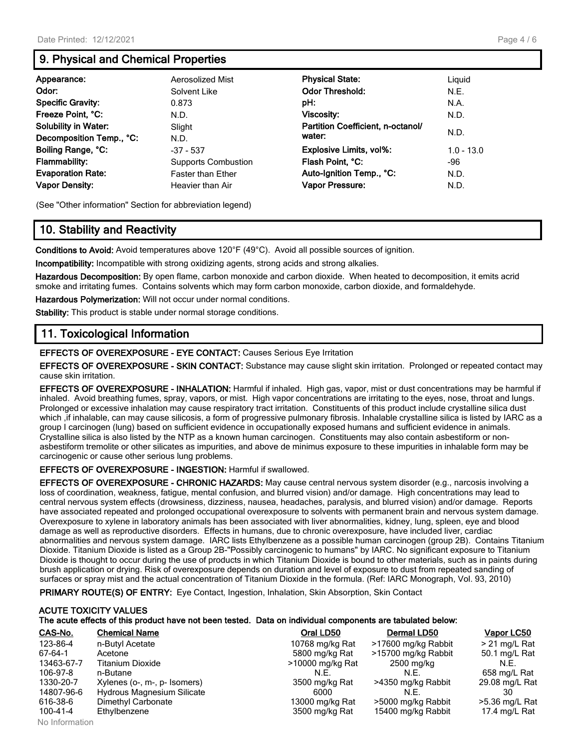### **9. Physical and Chemical Properties**

| Appearance:                 | Aerosolized Mist           | <b>Physical State:</b>            | Liguid       |
|-----------------------------|----------------------------|-----------------------------------|--------------|
| Odor:                       | Solvent Like               | <b>Odor Threshold:</b>            | N.E.         |
| <b>Specific Gravity:</b>    | 0.873                      | pH:                               | N.A.         |
| Freeze Point, °C:           | N.D.                       | Viscosity:                        | N.D.         |
| <b>Solubility in Water:</b> | Slight                     | Partition Coefficient, n-octanol/ |              |
| Decomposition Temp., °C:    | N.D.                       | water:                            | N.D.         |
| Boiling Range, °C:          | $-37 - 537$                | <b>Explosive Limits, vol%:</b>    | $1.0 - 13.0$ |
| <b>Flammability:</b>        | <b>Supports Combustion</b> | Flash Point, °C:                  | -96          |
| <b>Evaporation Rate:</b>    | <b>Faster than Ether</b>   | Auto-Ignition Temp., °C:          | N.D.         |
| <b>Vapor Density:</b>       | Heavier than Air           | Vapor Pressure:                   | N.D.         |

(See "Other information" Section for abbreviation legend)

### **10. Stability and Reactivity**

**Conditions to Avoid:** Avoid temperatures above 120°F (49°C). Avoid all possible sources of ignition.

**Incompatibility:** Incompatible with strong oxidizing agents, strong acids and strong alkalies.

**Hazardous Decomposition:** By open flame, carbon monoxide and carbon dioxide. When heated to decomposition, it emits acrid smoke and irritating fumes. Contains solvents which may form carbon monoxide, carbon dioxide, and formaldehyde.

**Hazardous Polymerization:** Will not occur under normal conditions.

**Stability:** This product is stable under normal storage conditions.

### **11. Toxicological Information**

**EFFECTS OF OVEREXPOSURE - EYE CONTACT:** Causes Serious Eye Irritation

**EFFECTS OF OVEREXPOSURE - SKIN CONTACT:** Substance may cause slight skin irritation. Prolonged or repeated contact may cause skin irritation.

**EFFECTS OF OVEREXPOSURE - INHALATION:** Harmful if inhaled. High gas, vapor, mist or dust concentrations may be harmful if inhaled. Avoid breathing fumes, spray, vapors, or mist. High vapor concentrations are irritating to the eyes, nose, throat and lungs. Prolonged or excessive inhalation may cause respiratory tract irritation. Constituents of this product include crystalline silica dust which ,if inhalable, can may cause silicosis, a form of progressive pulmonary fibrosis. Inhalable crystalline silica is listed by IARC as a group I carcinogen (lung) based on sufficient evidence in occupationally exposed humans and sufficient evidence in animals. Crystalline silica is also listed by the NTP as a known human carcinogen. Constituents may also contain asbestiform or nonasbestiform tremolite or other silicates as impurities, and above de minimus exposure to these impurities in inhalable form may be carcinogenic or cause other serious lung problems.

#### **EFFECTS OF OVEREXPOSURE - INGESTION:** Harmful if swallowed.

**EFFECTS OF OVEREXPOSURE - CHRONIC HAZARDS:** May cause central nervous system disorder (e.g., narcosis involving a loss of coordination, weakness, fatigue, mental confusion, and blurred vision) and/or damage. High concentrations may lead to central nervous system effects (drowsiness, dizziness, nausea, headaches, paralysis, and blurred vision) and/or damage. Reports have associated repeated and prolonged occupational overexposure to solvents with permanent brain and nervous system damage. Overexposure to xylene in laboratory animals has been associated with liver abnormalities, kidney, lung, spleen, eye and blood damage as well as reproductive disorders. Effects in humans, due to chronic overexposure, have included liver, cardiac abnormalities and nervous system damage. IARC lists Ethylbenzene as a possible human carcinogen (group 2B). Contains Titanium Dioxide. Titanium Dioxide is listed as a Group 2B-"Possibly carcinogenic to humans" by IARC. No significant exposure to Titanium Dioxide is thought to occur during the use of products in which Titanium Dioxide is bound to other materials, such as in paints during brush application or drying. Risk of overexposure depends on duration and level of exposure to dust from repeated sanding of surfaces or spray mist and the actual concentration of Titanium Dioxide in the formula. (Ref: IARC Monograph, Vol. 93, 2010)

**PRIMARY ROUTE(S) OF ENTRY:** Eye Contact, Ingestion, Inhalation, Skin Absorption, Skin Contact

## **ACUTE TOXICITY VALUES The acute effects of this product have not been tested. Data on individual components are tabulated below:**<br>CAS-No. CAS-No. CAS-No. CAS-No. CAS-No. CAS-No. CAS-No. CAS-No. CAS-No. CAS-No. CAS-NO. CAS-NO. CAS-NO. CAS-NO

| CAS-No.    | <b>Chemical Name</b>         | Oral LD50        | Dermal LD50         | Vapor LC50      |
|------------|------------------------------|------------------|---------------------|-----------------|
| 123-86-4   | n-Butyl Acetate              | 10768 mg/kg Rat  | >17600 mg/kg Rabbit | $> 21$ mg/L Rat |
| 67-64-1    | Acetone                      | 5800 mg/kg Rat   | >15700 mg/kg Rabbit | 50.1 mg/L Rat   |
| 13463-67-7 | Titanium Dioxide             | >10000 mg/kg Rat | 2500 mg/kg          | N.E.            |
| 106-97-8   | n-Butane                     | N.E.             | N.E.                | 658 mg/L Rat    |
| 1330-20-7  | Xylenes (o-, m-, p- Isomers) | 3500 mg/kg Rat   | >4350 mg/kg Rabbit  | 29.08 mg/L Rat  |
| 14807-96-6 | Hydrous Magnesium Silicate   | 6000             | N.E.                |                 |
| 616-38-6   | Dimethyl Carbonate           | 13000 mg/kg Rat  | >5000 mg/kg Rabbit  | >5.36 mg/L Rat  |
| 100-41-4   | Ethylbenzene                 | 3500 mg/kg Rat   | 15400 mg/kg Rabbit  | 17.4 mg/L Rat   |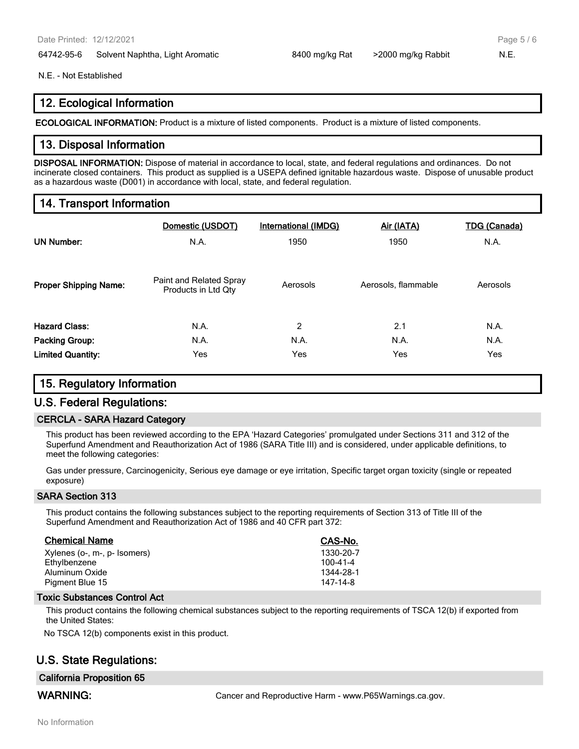64742-95-6 Solvent Naphtha, Light Aromatic 8400 mg/kg Rat >2000 mg/kg Rabbit N.E.

Page 5 / 6

#### N.E. - Not Established

### **12. Ecological Information**

**ECOLOGICAL INFORMATION:** Product is a mixture of listed components. Product is a mixture of listed components.

### **13. Disposal Information**

**DISPOSAL INFORMATION:** Dispose of material in accordance to local, state, and federal regulations and ordinances. Do not incinerate closed containers. This product as supplied is a USEPA defined ignitable hazardous waste. Dispose of unusable product as a hazardous waste (D001) in accordance with local, state, and federal regulation.

### **14. Transport Information**

| <b>UN Number:</b>            | Domestic (USDOT)<br>N.A.                       | <b>International (IMDG)</b><br>1950 | Air (IATA)<br>1950  | <b>TDG (Canada)</b><br>N.A. |
|------------------------------|------------------------------------------------|-------------------------------------|---------------------|-----------------------------|
| <b>Proper Shipping Name:</b> | Paint and Related Spray<br>Products in Ltd Qty | Aerosols                            | Aerosols, flammable | Aerosols                    |
| <b>Hazard Class:</b>         | N.A.                                           | $\overline{2}$                      | 2.1                 | N.A.                        |
| <b>Packing Group:</b>        | N.A.                                           | N.A.                                | N.A.                | N.A.                        |
| <b>Limited Quantity:</b>     | Yes                                            | Yes                                 | Yes                 | Yes                         |

### **15. Regulatory Information**

### **U.S. Federal Regulations:**

#### **CERCLA - SARA Hazard Category**

This product has been reviewed according to the EPA 'Hazard Categories' promulgated under Sections 311 and 312 of the Superfund Amendment and Reauthorization Act of 1986 (SARA Title III) and is considered, under applicable definitions, to meet the following categories:

Gas under pressure, Carcinogenicity, Serious eye damage or eye irritation, Specific target organ toxicity (single or repeated exposure)

#### **SARA Section 313**

This product contains the following substances subject to the reporting requirements of Section 313 of Title III of the Superfund Amendment and Reauthorization Act of 1986 and 40 CFR part 372:

| <b>Chemical Name</b>         | CAS-No.        |
|------------------------------|----------------|
| Xylenes (o-, m-, p- Isomers) | 1330-20-7      |
| Ethylbenzene                 | $100 - 41 - 4$ |
| Aluminum Oxide               | 1344-28-1      |
| Pigment Blue 15              | 147-14-8       |

#### **Toxic Substances Control Act**

This product contains the following chemical substances subject to the reporting requirements of TSCA 12(b) if exported from the United States:

No TSCA 12(b) components exist in this product.

### **U.S. State Regulations:**

#### **California Proposition 65**

**WARNING:** Cancer and Reproductive Harm - www.P65Warnings.ca.gov.